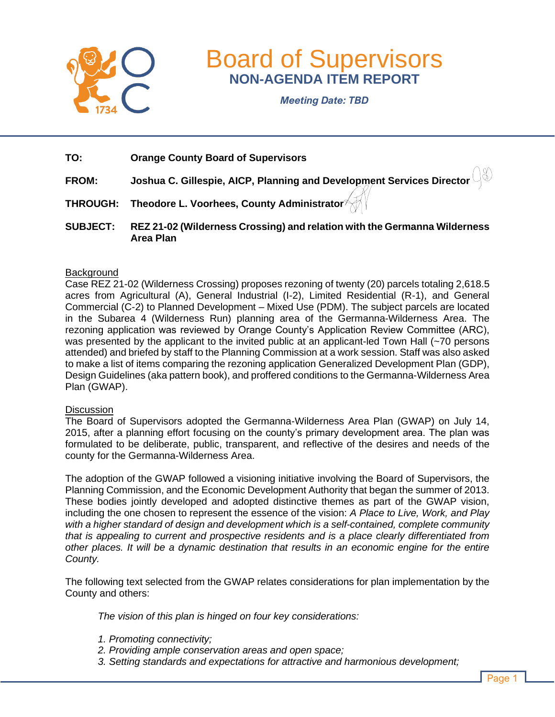

# Board of Supervisors **NON-AGENDA ITEM REPORT**

*Meeting Date: TBD*

- **TO: Orange County Board of Supervisors**
- **FROM: Joshua C. Gillespie, AICP, Planning and Development Services Director**
- **THROUGH: Theodore L. Voorhees, County Administrator**
- **SUBJECT: REZ 21-02 (Wilderness Crossing) and relation with the Germanna Wilderness Area Plan**

#### **Background**

Case REZ 21-02 (Wilderness Crossing) proposes rezoning of twenty (20) parcels totaling 2,618.5 acres from Agricultural (A), General Industrial (I-2), Limited Residential (R-1), and General Commercial (C-2) to Planned Development – Mixed Use (PDM). The subject parcels are located in the Subarea 4 (Wilderness Run) planning area of the Germanna-Wilderness Area. The rezoning application was reviewed by Orange County's Application Review Committee (ARC), was presented by the applicant to the invited public at an applicant-led Town Hall (~70 persons attended) and briefed by staff to the Planning Commission at a work session. Staff was also asked to make a list of items comparing the rezoning application Generalized Development Plan (GDP), Design Guidelines (aka pattern book), and proffered conditions to the Germanna-Wilderness Area Plan (GWAP).

#### **Discussion**

The Board of Supervisors adopted the Germanna-Wilderness Area Plan (GWAP) on July 14, 2015, after a planning effort focusing on the county's primary development area. The plan was formulated to be deliberate, public, transparent, and reflective of the desires and needs of the county for the Germanna-Wilderness Area.

The adoption of the GWAP followed a visioning initiative involving the Board of Supervisors, the Planning Commission, and the Economic Development Authority that began the summer of 2013. These bodies jointly developed and adopted distinctive themes as part of the GWAP vision, including the one chosen to represent the essence of the vision: *A Place to Live, Work, and Play with a higher standard of design and development which is a self-contained, complete community that is appealing to current and prospective residents and is a place clearly differentiated from other places. It will be a dynamic destination that results in an economic engine for the entire County.*

The following text selected from the GWAP relates considerations for plan implementation by the County and others:

*The vision of this plan is hinged on four key considerations:* 

- *1. Promoting connectivity;*
- *2. Providing ample conservation areas and open space;*
- *3. Setting standards and expectations for attractive and harmonious development;*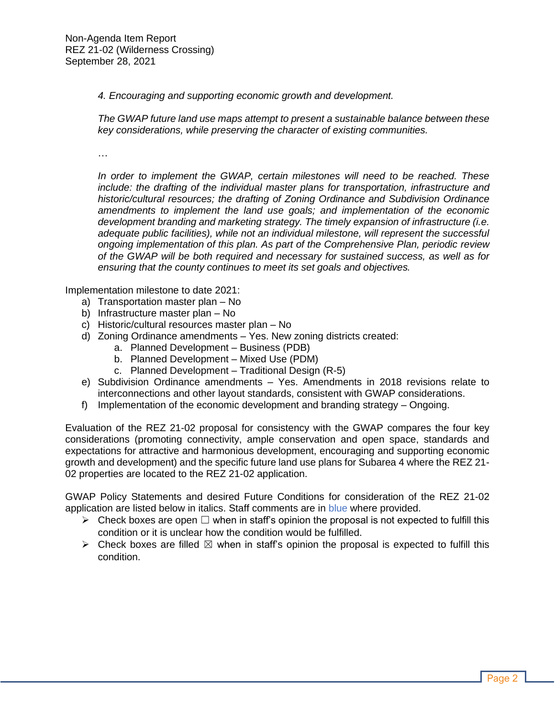*4. Encouraging and supporting economic growth and development.* 

*The GWAP future land use maps attempt to present a sustainable balance between these key considerations, while preserving the character of existing communities.*

…

*In order to implement the GWAP, certain milestones will need to be reached. These include: the drafting of the individual master plans for transportation, infrastructure and historic/cultural resources; the drafting of Zoning Ordinance and Subdivision Ordinance amendments to implement the land use goals; and implementation of the economic development branding and marketing strategy. The timely expansion of infrastructure (i.e. adequate public facilities), while not an individual milestone, will represent the successful ongoing implementation of this plan. As part of the Comprehensive Plan, periodic review of the GWAP will be both required and necessary for sustained success, as well as for ensuring that the county continues to meet its set goals and objectives.*

Implementation milestone to date 2021:

- a) Transportation master plan No
- b) Infrastructure master plan No
- c) Historic/cultural resources master plan No
- d) Zoning Ordinance amendments Yes. New zoning districts created:
	- a. Planned Development Business (PDB)
	- b. Planned Development Mixed Use (PDM)
	- c. Planned Development Traditional Design (R-5)
- e) Subdivision Ordinance amendments Yes. Amendments in 2018 revisions relate to interconnections and other layout standards, consistent with GWAP considerations.
- f) Implementation of the economic development and branding strategy Ongoing.

Evaluation of the REZ 21-02 proposal for consistency with the GWAP compares the four key considerations (promoting connectivity, ample conservation and open space, standards and expectations for attractive and harmonious development, encouraging and supporting economic growth and development) and the specific future land use plans for Subarea 4 where the REZ 21- 02 properties are located to the REZ 21-02 application.

GWAP Policy Statements and desired Future Conditions for consideration of the REZ 21-02 application are listed below in italics. Staff comments are in blue where provided.

- $\triangleright$  Check boxes are open  $\square$  when in staff's opinion the proposal is not expected to fulfill this condition or it is unclear how the condition would be fulfilled.
- $\triangleright$  Check boxes are filled  $\boxtimes$  when in staff's opinion the proposal is expected to fulfill this condition.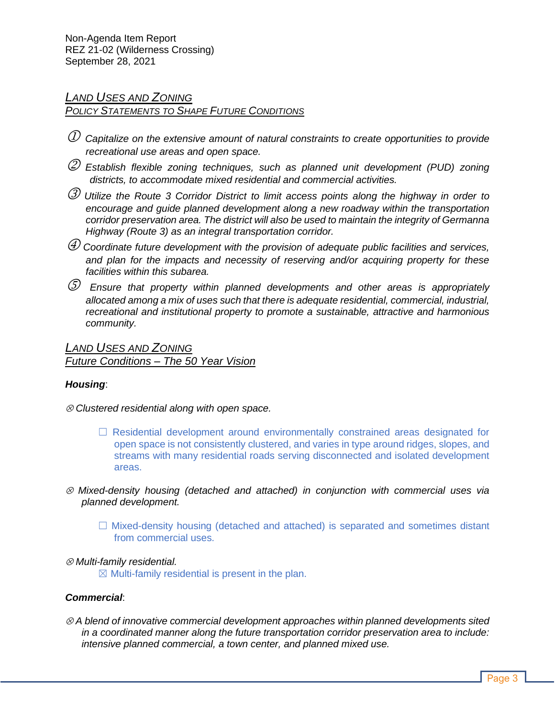# *LAND USES AND ZONING*

# *POLICY STATEMENTS TO SHAPE FUTURE CONDITIONS*

- *Capitalize on the extensive amount of natural constraints to create opportunities to provide recreational use areas and open space.*
- *Establish flexible zoning techniques, such as planned unit development (PUD) zoning districts, to accommodate mixed residential and commercial activities.*
- *Utilize the Route 3 Corridor District to limit access points along the highway in order to encourage and guide planned development along a new roadway within the transportation corridor preservation area. The district will also be used to maintain the integrity of Germanna Highway (Route 3) as an integral transportation corridor.*
- *Coordinate future development with the provision of adequate public facilities and services, and plan for the impacts and necessity of reserving and/or acquiring property for these facilities within this subarea.*
- *Ensure that property within planned developments and other areas is appropriately allocated among a mix of uses such that there is adequate residential, commercial, industrial, recreational and institutional property to promote a sustainable, attractive and harmonious community.*

*LAND USES AND ZONING Future Conditions – The 50 Year Vision*

## *Housing*:

- *Clustered residential along with open space.*
	- $\Box$  Residential development around environmentally constrained areas designated for open space is not consistently clustered, and varies in type around ridges, slopes, and streams with many residential roads serving disconnected and isolated development areas.
- *Mixed-density housing (detached and attached) in conjunction with commercial uses via planned development.*
	- $\Box$  Mixed-density housing (detached and attached) is separated and sometimes distant from commercial uses.

## *Multi-family residential.*

 $\boxtimes$  Multi-family residential is present in the plan.

# *Commercial*:

 *A blend of innovative commercial development approaches within planned developments sited in a coordinated manner along the future transportation corridor preservation area to include: intensive planned commercial, a town center, and planned mixed use.*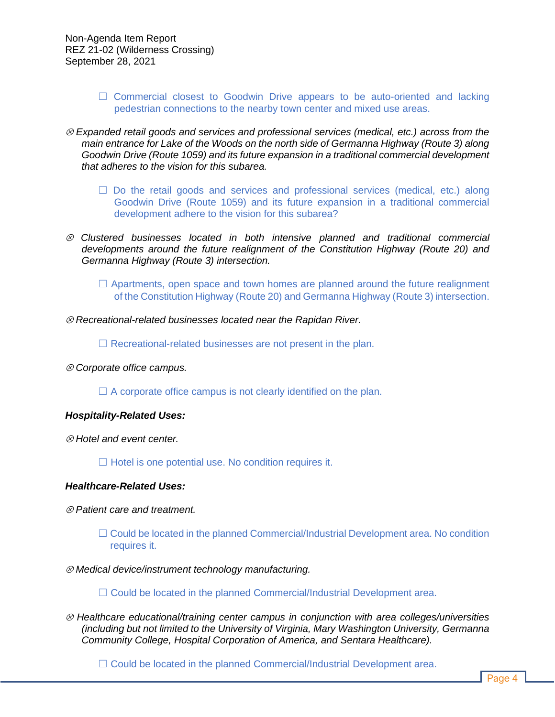- $\Box$  Commercial closest to Goodwin Drive appears to be auto-oriented and lacking pedestrian connections to the nearby town center and mixed use areas.
- *Expanded retail goods and services and professional services (medical, etc.) across from the main entrance for Lake of the Woods on the north side of Germanna Highway (Route 3) along Goodwin Drive (Route 1059) and its future expansion in a traditional commercial development that adheres to the vision for this subarea.*
	- $\square$  Do the retail goods and services and professional services (medical, etc.) along Goodwin Drive (Route 1059) and its future expansion in a traditional commercial development adhere to the vision for this subarea?
- *Clustered businesses located in both intensive planned and traditional commercial developments around the future realignment of the Constitution Highway (Route 20) and Germanna Highway (Route 3) intersection.*
	- $\Box$  Apartments, open space and town homes are planned around the future realignment of the Constitution Highway (Route 20) and Germanna Highway (Route 3) intersection.
- *Recreational-related businesses located near the Rapidan River.*

 $\Box$  Recreational-related businesses are not present in the plan.

*Corporate office campus.*

 $\Box$  A corporate office campus is not clearly identified on the plan.

#### *Hospitality-Related Uses:*

*Hotel and event center.*

 $\Box$  Hotel is one potential use. No condition requires it.

#### *Healthcare-Related Uses:*

- *Patient care and treatment.*
	- $\Box$  Could be located in the planned Commercial/Industrial Development area. No condition requires it.
- *Medical device/instrument technology manufacturing.*
	- $\Box$  Could be located in the planned Commercial/Industrial Development area.
- *Healthcare educational/training center campus in conjunction with area colleges/universities (including but not limited to the University of Virginia, Mary Washington University, Germanna Community College, Hospital Corporation of America, and Sentara Healthcare).*

 $\Box$  Could be located in the planned Commercial/Industrial Development area.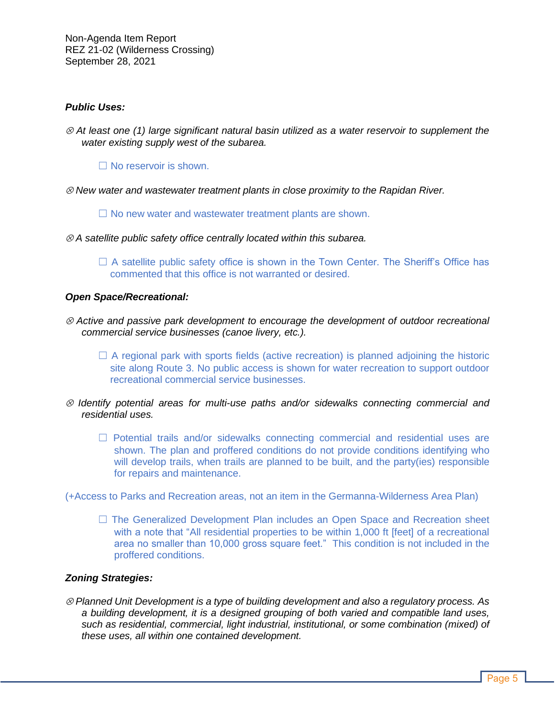#### *Public Uses:*

 *At least one (1) large significant natural basin utilized as a water reservoir to supplement the water existing supply west of the subarea.*

 $\Box$  No reservoir is shown.

*New water and wastewater treatment plants in close proximity to the Rapidan River.*

☐ No new water and wastewater treatment plants are shown.

- *A satellite public safety office centrally located within this subarea.*
	- $\Box$  A satellite public safety office is shown in the Town Center. The Sheriff's Office has commented that this office is not warranted or desired.

#### *Open Space/Recreational:*

- *Active and passive park development to encourage the development of outdoor recreational commercial service businesses (canoe livery, etc.).*
	- $\Box$  A regional park with sports fields (active recreation) is planned adjoining the historic site along Route 3. No public access is shown for water recreation to support outdoor recreational commercial service businesses.
- *Identify potential areas for multi-use paths and/or sidewalks connecting commercial and residential uses.*
	- □ Potential trails and/or sidewalks connecting commercial and residential uses are shown. The plan and proffered conditions do not provide conditions identifying who will develop trails, when trails are planned to be built, and the party(ies) responsible for repairs and maintenance.

(+Access to Parks and Recreation areas, not an item in the Germanna-Wilderness Area Plan)

□ The Generalized Development Plan includes an Open Space and Recreation sheet with a note that "All residential properties to be within 1,000 ft [feet] of a recreational area no smaller than 10,000 gross square feet." This condition is not included in the proffered conditions.

#### *Zoning Strategies:*

 *Planned Unit Development is a type of building development and also a regulatory process. As a building development, it is a designed grouping of both varied and compatible land uses, such as residential, commercial, light industrial, institutional, or some combination (mixed) of these uses, all within one contained development.*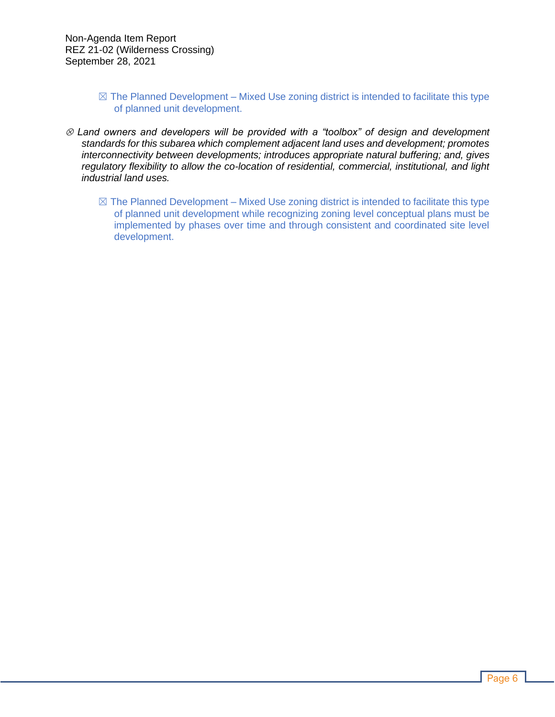- $\boxtimes$  The Planned Development Mixed Use zoning district is intended to facilitate this type of planned unit development.
- *Land owners and developers will be provided with a "toolbox" of design and development standards for this subarea which complement adjacent land uses and development; promotes interconnectivity between developments; introduces appropriate natural buffering; and, gives regulatory flexibility to allow the co-location of residential, commercial, institutional, and light industrial land uses.*
	- $\boxtimes$  The Planned Development Mixed Use zoning district is intended to facilitate this type of planned unit development while recognizing zoning level conceptual plans must be implemented by phases over time and through consistent and coordinated site level development.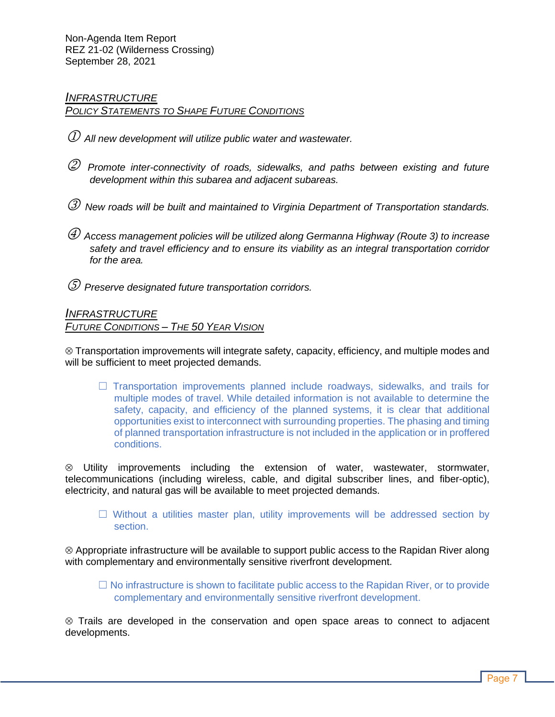#### *INFRASTRUCTURE POLICY STATEMENTS TO SHAPE FUTURE CONDITIONS*

- *All new development will utilize public water and wastewater.*
- *Promote inter-connectivity of roads, sidewalks, and paths between existing and future development within this subarea and adjacent subareas.*
- *New roads will be built and maintained to Virginia Department of Transportation standards.*
- *Access management policies will be utilized along Germanna Highway (Route 3) to increase safety and travel efficiency and to ensure its viability as an integral transportation corridor for the area.*
- *Preserve designated future transportation corridors.*

# *INFRASTRUCTURE FUTURE CONDITIONS – THE 50 YEAR VISION*

 $\otimes$  Transportation improvements will integrate safety, capacity, efficiency, and multiple modes and will be sufficient to meet projected demands.

 $\Box$  Transportation improvements planned include roadways, sidewalks, and trails for multiple modes of travel. While detailed information is not available to determine the safety, capacity, and efficiency of the planned systems, it is clear that additional opportunities exist to interconnect with surrounding properties. The phasing and timing of planned transportation infrastructure is not included in the application or in proffered conditions.

 Utility improvements including the extension of water, wastewater, stormwater, telecommunications (including wireless, cable, and digital subscriber lines, and fiber-optic), electricity, and natural gas will be available to meet projected demands.

 $\Box$  Without a utilities master plan, utility improvements will be addressed section by section.

 $\otimes$  Appropriate infrastructure will be available to support public access to the Rapidan River along with complementary and environmentally sensitive riverfront development.

 $\Box$  No infrastructure is shown to facilitate public access to the Rapidan River, or to provide complementary and environmentally sensitive riverfront development.

 Trails are developed in the conservation and open space areas to connect to adjacent developments.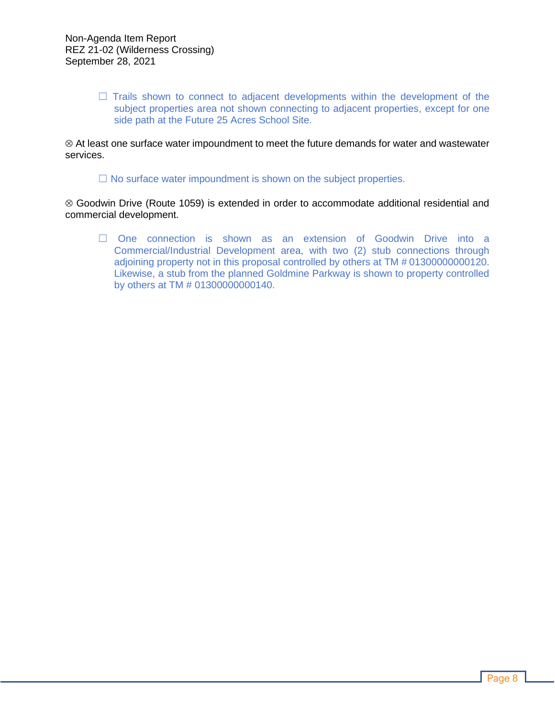$\Box$  Trails shown to connect to adjacent developments within the development of the subject properties area not shown connecting to adjacent properties, except for one side path at the Future 25 Acres School Site.

 At least one surface water impoundment to meet the future demands for water and wastewater services.

 $\Box$  No surface water impoundment is shown on the subject properties.

 Goodwin Drive (Route 1059) is extended in order to accommodate additional residential and commercial development.

☐ One connection is shown as an extension of Goodwin Drive into a Commercial/Industrial Development area, with two (2) stub connections through adjoining property not in this proposal controlled by others at TM # 01300000000120. Likewise, a stub from the planned Goldmine Parkway is shown to property controlled by others at TM # 01300000000140.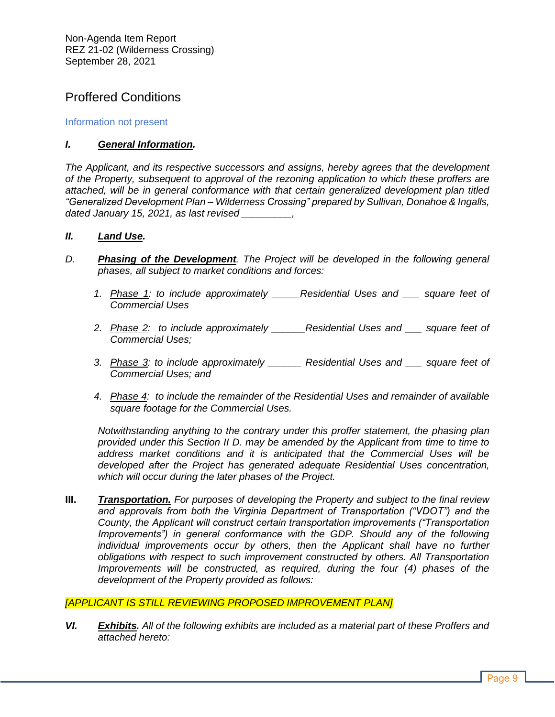# Proffered Conditions

## Information not present

#### *I. General Information.*

*The Applicant, and its respective successors and assigns, hereby agrees that the development of the Property, subsequent to approval of the rezoning application to which these proffers are attached, will be in general conformance with that certain generalized development plan titled "Generalized Development Plan – Wilderness Crossing" prepared by Sullivan, Donahoe & Ingalls, dated January 15, 2021, as last revised \_\_\_\_\_\_\_\_\_,*

#### *II. Land Use.*

- *D. Phasing of the Development. The Project will be developed in the following general phases, all subject to market conditions and forces:*
	- *1. Phase 1: to include approximately \_\_\_\_\_Residential Uses and \_\_\_ square feet of Commercial Uses*
	- *2. Phase 2: to include approximately \_\_\_\_\_\_Residential Uses and \_\_\_ square feet of Commercial Uses;*
	- *3. Phase 3: to include approximately \_\_\_\_\_\_ Residential Uses and \_\_\_ square feet of Commercial Uses; and*
	- *4. Phase 4: to include the remainder of the Residential Uses and remainder of available square footage for the Commercial Uses.*

*Notwithstanding anything to the contrary under this proffer statement, the phasing plan provided under this Section II D. may be amended by the Applicant from time to time to address market conditions and it is anticipated that the Commercial Uses will be developed after the Project has generated adequate Residential Uses concentration, which will occur during the later phases of the Project.* 

**III.** *Transportation. For purposes of developing the Property and subject to the final review and approvals from both the Virginia Department of Transportation ("VDOT") and the County, the Applicant will construct certain transportation improvements ("Transportation Improvements") in general conformance with the GDP. Should any of the following individual improvements occur by others, then the Applicant shall have no further obligations with respect to such improvement constructed by others. All Transportation Improvements will be constructed, as required, during the four (4) phases of the development of the Property provided as follows:*

#### *[APPLICANT IS STILL REVIEWING PROPOSED IMPROVEMENT PLAN]*

*VI. Exhibits. All of the following exhibits are included as a material part of these Proffers and attached hereto:*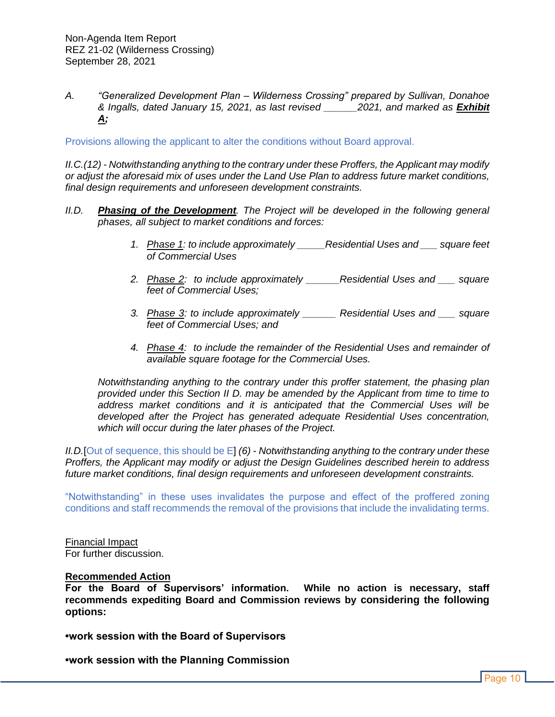*A. "Generalized Development Plan – Wilderness Crossing" prepared by Sullivan, Donahoe & Ingalls, dated January 15, 2021, as last revised \_\_\_\_\_\_2021, and marked as Exhibit A;* 

Provisions allowing the applicant to alter the conditions without Board approval.

*II.C.(12) - Notwithstanding anything to the contrary under these Proffers, the Applicant may modify or adjust the aforesaid mix of uses under the Land Use Plan to address future market conditions, final design requirements and unforeseen development constraints.* 

- *II.D. Phasing of the Development. The Project will be developed in the following general phases, all subject to market conditions and forces:*
	- *1. Phase 1: to include approximately \_\_\_\_\_Residential Uses and \_\_\_ square feet of Commercial Uses*
	- *2. Phase 2: to include approximately \_\_\_\_\_\_Residential Uses and \_\_\_ square feet of Commercial Uses;*
	- *3. Phase 3: to include approximately \_\_\_\_\_\_ Residential Uses and \_\_\_ square feet of Commercial Uses; and*
	- *4. Phase 4: to include the remainder of the Residential Uses and remainder of available square footage for the Commercial Uses.*

*Notwithstanding anything to the contrary under this proffer statement, the phasing plan provided under this Section II D. may be amended by the Applicant from time to time to address market conditions and it is anticipated that the Commercial Uses will be developed after the Project has generated adequate Residential Uses concentration, which will occur during the later phases of the Project.* 

*II.D.*[Out of sequence, this should be E] *(6) - Notwithstanding anything to the contrary under these Proffers, the Applicant may modify or adjust the Design Guidelines described herein to address future market conditions, final design requirements and unforeseen development constraints.*

"Notwithstanding" in these uses invalidates the purpose and effect of the proffered zoning conditions and staff recommends the removal of the provisions that include the invalidating terms.

Financial Impact For further discussion.

#### **Recommended Action**

**For the Board of Supervisors' information. While no action is necessary, staff recommends expediting Board and Commission reviews by considering the following options:**

**•work session with the Board of Supervisors**

**•work session with the Planning Commission**